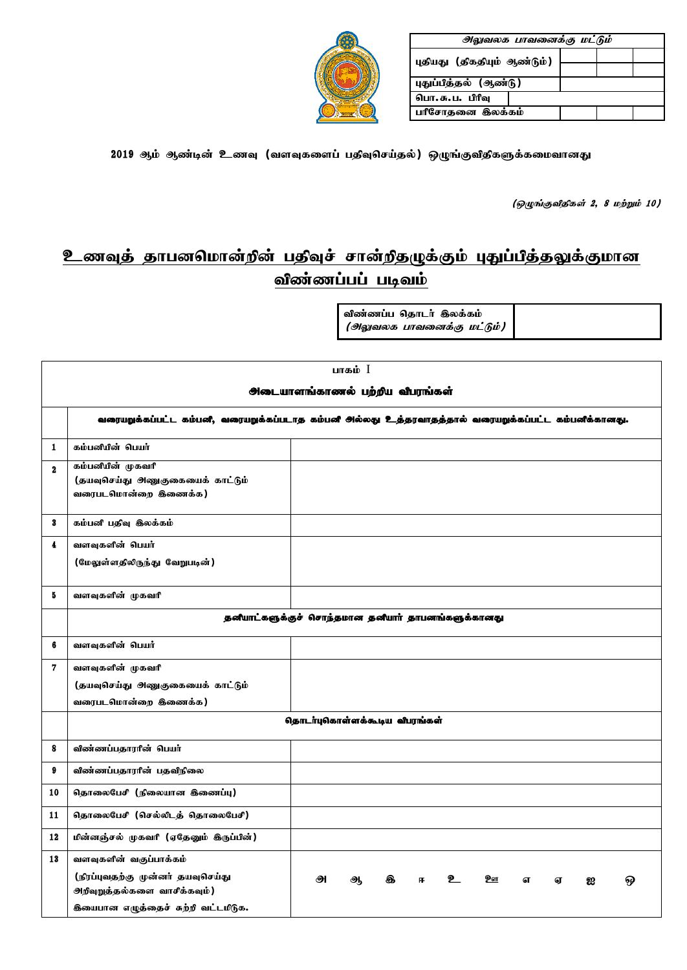| அலுவலக பாவனைக்கு மட்டும்    |  |  |  |  |  |  |  |
|-----------------------------|--|--|--|--|--|--|--|
| புதியது (திகதியும் ஆண்டும்) |  |  |  |  |  |  |  |
|                             |  |  |  |  |  |  |  |
| புதுப்பித்தல் (ஆண்டு)       |  |  |  |  |  |  |  |
| பொ. சு. ப. பிரிவு           |  |  |  |  |  |  |  |
| பரீசோதனை இலக்கம்            |  |  |  |  |  |  |  |



2019 ஆம் ஆண்டின் உணவு (வளவுகளைப் பதிவுசெய்தல்) ஒழுங்குவிதிகளுக்கமைவானது

(ஒழுங்குவிதிகள் 2, 8 மற்றும் 10)

# <u>உணவுத் தாபனமொன்றின் பதிவுச் சான்றிதழுக்கும் புதுப்பித்தலுக்குமான</u> விண்ணப்பப் படிவம்

.<br>விண்ணப்ப கொடர் கிலக்கம்  $($ ol $_{\tiny \rm g}$ 

| ர்ணப்ப தொடர் இலக்கம் |  |
|----------------------|--|
|                      |  |

|              | பாகம் $I$                                                                                           |                               |   |   |     |  |                 |   |   |   |  |
|--------------|-----------------------------------------------------------------------------------------------------|-------------------------------|---|---|-----|--|-----------------|---|---|---|--|
|              | <b>ூ</b> டையாளங்காணல் பற்றிய விபரங்கள்                                                              |                               |   |   |     |  |                 |   |   |   |  |
|              | வரையறுக்கப்பட்ட கம்பனி, வரையறுக்கப்படாத கம்பனி அல்லது உத்தரவாதத்தால் வரையறுக்கப்பட்ட கம்பனிக்கானது. |                               |   |   |     |  |                 |   |   |   |  |
| 1            | கம்பனியின் பெயர்                                                                                    |                               |   |   |     |  |                 |   |   |   |  |
| $\mathbf{2}$ | கம்பனியின் முகவரி<br>(தயவுசெய்து அணுகுகையைக் காட்டும்<br>வரைபடமொன்றை கிணைக்க)                       |                               |   |   |     |  |                 |   |   |   |  |
| 3            | கம்பனி பதிவு இலக்கம்                                                                                |                               |   |   |     |  |                 |   |   |   |  |
| 4            | வளவுகளின் பெயர்<br>(மேலுள்ளதிலிருந்து வேறுபடின்)                                                    |                               |   |   |     |  |                 |   |   |   |  |
| 5            | வளவுகளின் முகவரி                                                                                    |                               |   |   |     |  |                 |   |   |   |  |
|              | தனீயாட்களுக்குச் சொந்தமான தனீயாா் தாபனங்களுக்கானது                                                  |                               |   |   |     |  |                 |   |   |   |  |
| 6            | வளவுகளின் பெயர்                                                                                     |                               |   |   |     |  |                 |   |   |   |  |
| 7            | வளவுகளின் முகவரி                                                                                    |                               |   |   |     |  |                 |   |   |   |  |
|              | (தயவுசெய்து அணுகுகையைக் காட்டும்                                                                    |                               |   |   |     |  |                 |   |   |   |  |
|              | வரைபடமொன்றை கிணைக்க)                                                                                |                               |   |   |     |  |                 |   |   |   |  |
|              |                                                                                                     | தொடர்புகொள்ளக்கூடிய வீபரங்கள் |   |   |     |  |                 |   |   |   |  |
| 8            | விண்ணப்பதாராின் பெயர்                                                                               |                               |   |   |     |  |                 |   |   |   |  |
| 9            | விண்ணப்பதாரரின் பதவிநிலை                                                                            |                               |   |   |     |  |                 |   |   |   |  |
| 10           | தொலைபேசி (நிலையான இணைப்பு)                                                                          |                               |   |   |     |  |                 |   |   |   |  |
| 11           | தொலைபேசி (செல்லிடத் தொலைபேசி)                                                                       |                               |   |   |     |  |                 |   |   |   |  |
| 12           | மின்னஞ்சல் முகவரி (ஏதேனும் இருப்பின்)                                                               |                               |   |   |     |  |                 |   |   |   |  |
| 13           | வளவுகளின் வகுப்பாக்கம்                                                                              |                               |   |   |     |  |                 |   |   |   |  |
|              | (நிரப்புவதற்கு முன்னர் தயவுசெய்து<br>ூறிவுறுத்தல்களை வாசீக்கவும்)                                   | அ                             | ஆ | க | FF. |  | 2 <sub>or</sub> | எ | ௭ | ஐ |  |
|              | <b>கியைபான எழுத்தைச் சுற்றி வட்டமிடுக.</b>                                                          |                               |   |   |     |  |                 |   |   |   |  |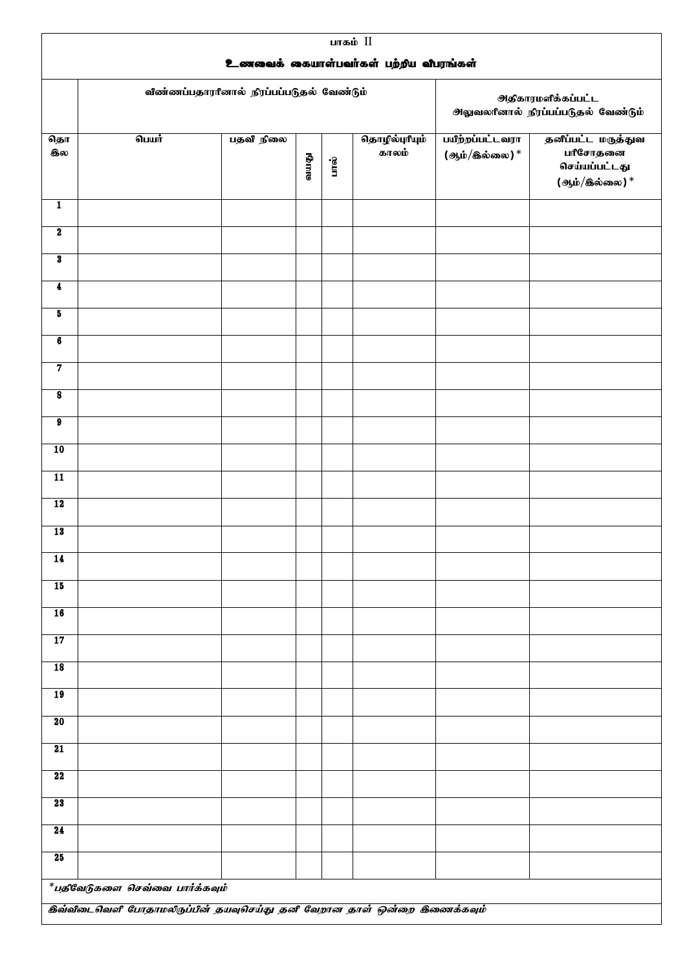|                             | பாகம் II<br>உணவைக் கையாள்பவர்கள் பற்றிய விபரங்கள்                                                            |                                           |              |          |                         |                                  |                                                                  |  |  |
|-----------------------------|--------------------------------------------------------------------------------------------------------------|-------------------------------------------|--------------|----------|-------------------------|----------------------------------|------------------------------------------------------------------|--|--|
|                             |                                                                                                              | விண்ணப்பதாரரினால் நிரப்பப்படுதல் வேண்டும் |              |          |                         |                                  | <b>ூக்காரமளிக்கப்பட்ட</b><br>அலுவலரினால் நிரப்பப்படுதல் வேண்டும் |  |  |
| தொ<br>கல                    | பெயர்                                                                                                        | பதவி நிலை                                 | <b>GATTE</b> | Се<br>Пи | தொழில்புரியும்<br>காலம் | பயிற்றப்பட்டவரா<br>(ஆம்/இல்லை) * | தனீப்பட்ட மருத்துவ<br>பரீசோதனை<br>செய்யப்பட்டது<br>(ஆம்/இல்லை) * |  |  |
| $\overline{1}$              |                                                                                                              |                                           |              |          |                         |                                  |                                                                  |  |  |
| $\overline{\mathbf{2}}$     |                                                                                                              |                                           |              |          |                         |                                  |                                                                  |  |  |
| $\overline{\mathbf{3}}$     |                                                                                                              |                                           |              |          |                         |                                  |                                                                  |  |  |
| $\overline{\mathbf{4}}$     |                                                                                                              |                                           |              |          |                         |                                  |                                                                  |  |  |
| 5                           |                                                                                                              |                                           |              |          |                         |                                  |                                                                  |  |  |
| 6                           |                                                                                                              |                                           |              |          |                         |                                  |                                                                  |  |  |
| $\overline{7}$              |                                                                                                              |                                           |              |          |                         |                                  |                                                                  |  |  |
| $\overline{\mathbf{8}}$     |                                                                                                              |                                           |              |          |                         |                                  |                                                                  |  |  |
| $\overline{\boldsymbol{9}}$ |                                                                                                              |                                           |              |          |                         |                                  |                                                                  |  |  |
| 10                          |                                                                                                              |                                           |              |          |                         |                                  |                                                                  |  |  |
| $\overline{11}$             |                                                                                                              |                                           |              |          |                         |                                  |                                                                  |  |  |
| 12                          |                                                                                                              |                                           |              |          |                         |                                  |                                                                  |  |  |
| 13                          |                                                                                                              |                                           |              |          |                         |                                  |                                                                  |  |  |
| 14                          |                                                                                                              |                                           |              |          |                         |                                  |                                                                  |  |  |
| 15                          |                                                                                                              |                                           |              |          |                         |                                  |                                                                  |  |  |
| 16                          |                                                                                                              |                                           |              |          |                         |                                  |                                                                  |  |  |
| 17                          |                                                                                                              |                                           |              |          |                         |                                  |                                                                  |  |  |
| $\overline{18}$             |                                                                                                              |                                           |              |          |                         |                                  |                                                                  |  |  |
| 19                          |                                                                                                              |                                           |              |          |                         |                                  |                                                                  |  |  |
| 20                          |                                                                                                              |                                           |              |          |                         |                                  |                                                                  |  |  |
| 21                          |                                                                                                              |                                           |              |          |                         |                                  |                                                                  |  |  |
| 22                          |                                                                                                              |                                           |              |          |                         |                                  |                                                                  |  |  |
| 23                          |                                                                                                              |                                           |              |          |                         |                                  |                                                                  |  |  |
| 24                          |                                                                                                              |                                           |              |          |                         |                                  |                                                                  |  |  |
| 25                          |                                                                                                              |                                           |              |          |                         |                                  |                                                                  |  |  |
|                             | $^*$ பதிவேடுகளை செவ்வை பார்க்கவும்<br>இவ்விடைவெளி போதாமலிருப்பின் தயவுசெய்து தனி வேறான தாள் ஒன்றை இணைக்கவும் |                                           |              |          |                         |                                  |                                                                  |  |  |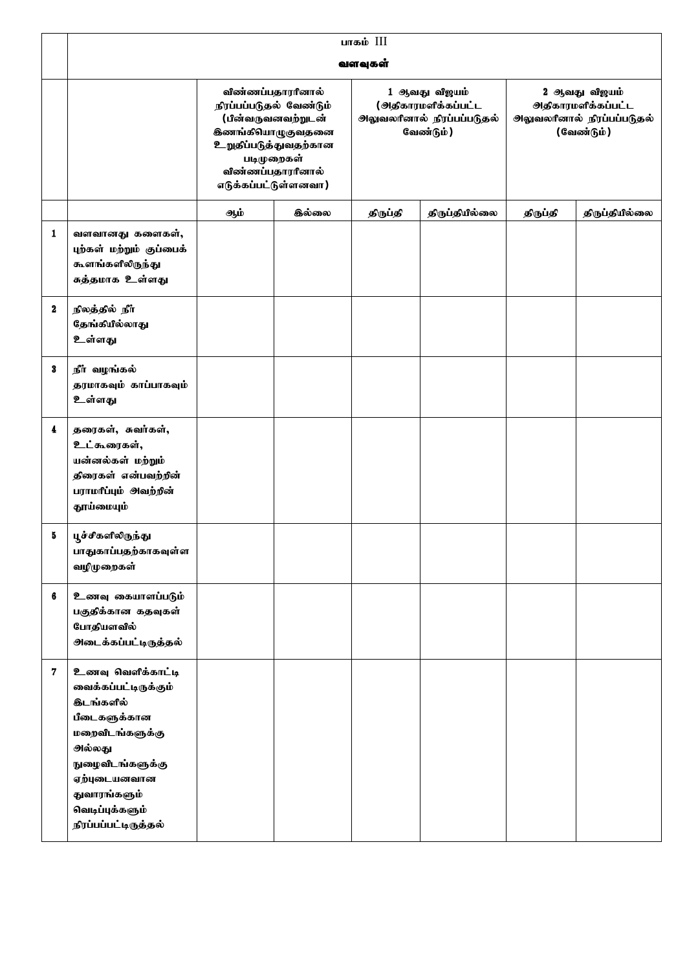|                  | பாகம் III                                                                                                                                                                                                  |                                                                                                                                                                   |                    |          |                                                                                          |                                                                                               |                |  |  |
|------------------|------------------------------------------------------------------------------------------------------------------------------------------------------------------------------------------------------------|-------------------------------------------------------------------------------------------------------------------------------------------------------------------|--------------------|----------|------------------------------------------------------------------------------------------|-----------------------------------------------------------------------------------------------|----------------|--|--|
|                  |                                                                                                                                                                                                            |                                                                                                                                                                   |                    | வளவுகள்  |                                                                                          |                                                                                               |                |  |  |
|                  |                                                                                                                                                                                                            | விண்ணப்பதாரரினால்<br>நிரப்பப்படுதல் வேண்டும்<br><b>இணங்கியாழுகுவதனை</b><br><b>உறுதப்படுத்துவதற்கான</b><br>படிமுறைகள்<br>விண்ணப்பதாரரினால்<br>எடுக்கப்பட்டுள்ளனவா) | (பின்வருவனவற்றுடன் |          | 1 ஆவது வீஜயம்<br>( <i>அதி</i> காரமளிக்கப்பட்ட<br>அலுவலரினால் நிரப்பப்படுதல்<br>வேண்டும்) | 2 ஆவது விஜயம்<br><b>ூக்காரமளிக்கப்பட்ட</b><br><b>அலுவலரினால் நிரப்பப்படுதல்</b><br>(வேண்டும்) |                |  |  |
|                  |                                                                                                                                                                                                            | ஆம்                                                                                                                                                               | <b>இல்லை</b>       | திருப்தி | திருப்தியில்லை                                                                           | திருப்தி                                                                                      | திருப்தியில்லை |  |  |
| 1                | வளவானது களைகள்,<br>புற்கள் மற்றும் குப்பைக்<br>கூளங்களிலிருந்து<br>சுத்தமாக உள்ளது                                                                                                                         |                                                                                                                                                                   |                    |          |                                                                                          |                                                                                               |                |  |  |
| $\boldsymbol{2}$ | நிலத்தில் நீர்<br>தேங்கியில்லாது<br>உள்ளது                                                                                                                                                                 |                                                                                                                                                                   |                    |          |                                                                                          |                                                                                               |                |  |  |
| 3                | நீர் வழங்கல்<br>தரமாகவும் காப்பாகவும்<br>உள்ளது                                                                                                                                                            |                                                                                                                                                                   |                    |          |                                                                                          |                                                                                               |                |  |  |
| 4                | தரைகள், சுவர்கள்,<br>உட்கூரைகள்,<br>யன்னல்கள் மற்றும்<br>திரைகள் என்பவற்றின்<br>பராமரீப்பும் அவற்றின்<br>தூய்மையும்                                                                                        |                                                                                                                                                                   |                    |          |                                                                                          |                                                                                               |                |  |  |
| 5                | பூச்சீகளிலிருந்து<br>பாதுகாப்பதற்காகவுள்ள<br>வழிமுறைகள்                                                                                                                                                    |                                                                                                                                                                   |                    |          |                                                                                          |                                                                                               |                |  |  |
| 6                | உணவு கையாளப்படும்<br>பகுதிக்கான கதவுகள்<br>போதியளவில்<br><u>அடைக்கப்பட்டிருத்த</u> ல்                                                                                                                      |                                                                                                                                                                   |                    |          |                                                                                          |                                                                                               |                |  |  |
| 7                | உணவு வெளிக்காட்டி<br>வைக்கப்பட்டிருக்கும்<br><b>குடங்களில்</b><br>பீடைகளுக்கான<br>மறைவிடங்களுக்கு<br>அல்லது<br>நுழைவிடங்களுக்கு<br>ஏற்புடையனவான<br>துவாரங்களும்<br>வெடிப்புக்களும்<br>நிரப்பப்பட்டிருத்தல் |                                                                                                                                                                   |                    |          |                                                                                          |                                                                                               |                |  |  |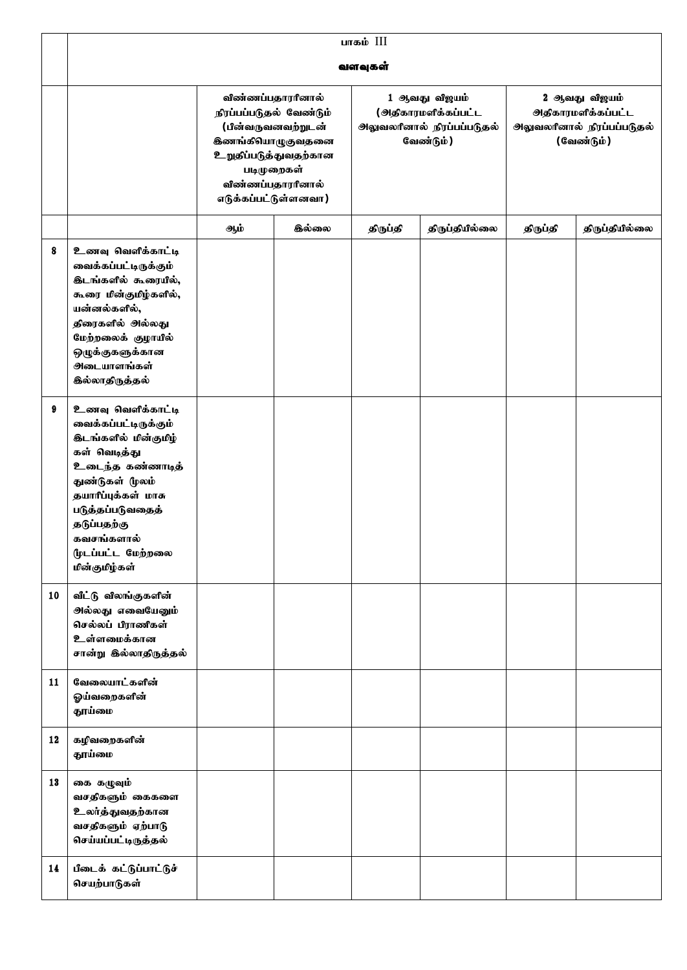|    | பாகம் III                                                                                                                                                                                                                                     |                                                                                                                                                                    |                    |                                                                                 |                |          |                                                                                         |  |  |
|----|-----------------------------------------------------------------------------------------------------------------------------------------------------------------------------------------------------------------------------------------------|--------------------------------------------------------------------------------------------------------------------------------------------------------------------|--------------------|---------------------------------------------------------------------------------|----------------|----------|-----------------------------------------------------------------------------------------|--|--|
|    |                                                                                                                                                                                                                                               |                                                                                                                                                                    |                    | வளவுகள்                                                                         |                |          |                                                                                         |  |  |
|    |                                                                                                                                                                                                                                               | விண்ணப்பதாரரினால்<br>நிரப்பப்படுதல் வேண்டும்<br><b>இணங்கியாழுகுவதனை</b><br><b>உறுதிப்படுத்துவதற்கான</b><br>படிமுறைகள்<br>விண்ணப்பதாரரினால்<br>எடுக்கப்பட்டுள்ளனவா) | (பின்வருவனவற்றுடன் | 1 ஆவது விஜயம்<br>(அதிகாரமளிக்கப்பட்ட<br>அலுவலரினால் நிரப்பப்படுதல்<br>வேண்டும்) |                |          | 2 ஆவது விஜயம்<br><b>ூ</b> திகாரமளிக்கப்பட்ட<br>அலுவலரீனால் நிரப்பப்படுதல்<br>(வேண்டும்) |  |  |
|    |                                                                                                                                                                                                                                               | ஆம்                                                                                                                                                                | <b>இல்லை</b>       | திருப்தி                                                                        | திருப்தியில்லை | திருப்தி | திருப்தியில்லை                                                                          |  |  |
| 8  | உணவு வெளிக்காட்டி<br>வைக்கப்பட்டிருக்கும்<br><b>குடங்களில் கூரையில்,</b><br>கூரை மின்குமிழ்களில்,<br>யன்னல்களில்,<br>திரைகளில் அல்லது<br>மேற்றலைக் குழாயில்<br>ஒழுக்குகளுக்கான<br>ூடையாளங்கள்<br><b>இல்லாதிருத்தல்</b>                        |                                                                                                                                                                    |                    |                                                                                 |                |          |                                                                                         |  |  |
| 9  | உணவு வெளிக்காட்டி<br>வைக்கப்பட்டிருக்கும்<br><b>கடங்களில் மின்குமிழ்</b><br>கள் வெடித்து<br>உடைந்த கண்ணாடித்<br>துண்டுகள் (ழலம்<br>தயாரிப்புக்கள் மாசு<br>படுத்தப்படுவதைத்<br>தடுப்பதற்கு<br>கவசங்களால்<br>(ழடப்பட்ட மேற்றலை<br>மின்குமிழ்கள் |                                                                                                                                                                    |                    |                                                                                 |                |          |                                                                                         |  |  |
| 10 | வீட்டு விலங்குகளின்<br><b>அல்லது எவையேனும்</b><br>செல்லப் பிராணிகள்<br>உள்ளமைக்கான<br>சான்று இல்லாதிருத்தல்                                                                                                                                   |                                                                                                                                                                    |                    |                                                                                 |                |          |                                                                                         |  |  |
| 11 | வேலையாட்களின்<br>ஓய்வறைகளின்<br>தூய்மை                                                                                                                                                                                                        |                                                                                                                                                                    |                    |                                                                                 |                |          |                                                                                         |  |  |
| 12 | கழிவறைகளின்<br>தூய்மை                                                                                                                                                                                                                         |                                                                                                                                                                    |                    |                                                                                 |                |          |                                                                                         |  |  |
| 13 | கை கழுவும்<br>வசதிகளும் கைகளை<br>உலர்த்துவதற்கான<br>வசதிகளும் ஏற்பாடு<br>செய்யப்பட்டிருத்தல்                                                                                                                                                  |                                                                                                                                                                    |                    |                                                                                 |                |          |                                                                                         |  |  |
| 14 | பீடைக் கட்டுப்பாட்டுச்<br>செயற்பாடுகள்                                                                                                                                                                                                        |                                                                                                                                                                    |                    |                                                                                 |                |          |                                                                                         |  |  |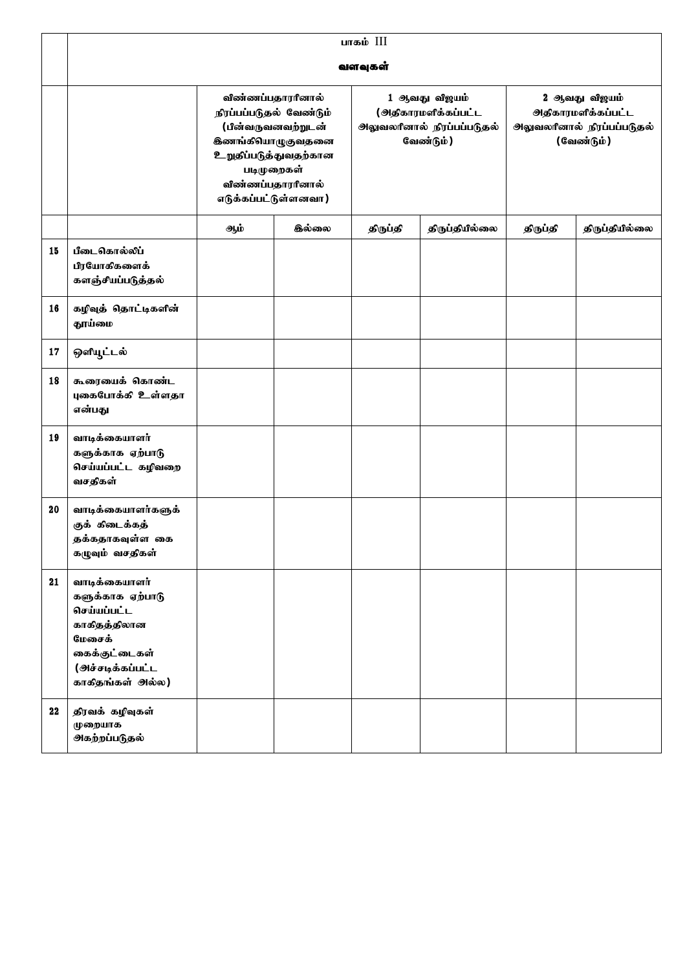|    | பாகம் III                                                                                                                           |                                                                                                                                                                                   |              |          |                                                                                        |                                                                                                |  |  |  |
|----|-------------------------------------------------------------------------------------------------------------------------------------|-----------------------------------------------------------------------------------------------------------------------------------------------------------------------------------|--------------|----------|----------------------------------------------------------------------------------------|------------------------------------------------------------------------------------------------|--|--|--|
|    |                                                                                                                                     |                                                                                                                                                                                   |              | வளவுகள்  |                                                                                        |                                                                                                |  |  |  |
|    |                                                                                                                                     | விண்ணப்பதாரரினால்<br>நிரப்பப்படுதல் வேண்டும்<br>(பின்வருவனவற்றுடன்<br><b>இணங்கியாழுகுவதனை</b><br>உறுதிப்படுத்துவதற்கான<br>படிமுறைகள்<br>விண்ணப்பதாரரினால்<br>எடுக்கப்பட்டுள்ளனவா) |              |          | 1 ஆவது விஜயம்<br><u>(அதிகாரமளிக்கப்பட்ட</u><br>அலுவலரினால் நிரப்பப்படுதல்<br>வேண்டும்) | 2 ஆவது விஜயம்<br><b>ூ</b> திகாரமளிக்கப்பட்ட<br><b>அலுவலரீனால் நிரப்பப்படுதல்</b><br>(வேண்டும்) |  |  |  |
|    |                                                                                                                                     | ஆம்                                                                                                                                                                               | <b>இல்லை</b> | திருப்தி | திருப்தியில்லை                                                                         | திருப்தியில்லை<br>திருப்தி                                                                     |  |  |  |
| 15 | பீடைகொல்லிப்<br>பிரயோகிகளைக்<br>களஞ்சியப்படுத்தல்                                                                                   |                                                                                                                                                                                   |              |          |                                                                                        |                                                                                                |  |  |  |
| 16 | கழிவுத் தொட்டிகளின்<br>தூய்மை                                                                                                       |                                                                                                                                                                                   |              |          |                                                                                        |                                                                                                |  |  |  |
| 17 | ஒளியூட்டல்                                                                                                                          |                                                                                                                                                                                   |              |          |                                                                                        |                                                                                                |  |  |  |
| 18 | கூரையைக் கொண்ட<br>புகைபோக்கி உள்ளதா<br>என்பது                                                                                       |                                                                                                                                                                                   |              |          |                                                                                        |                                                                                                |  |  |  |
| 19 | வாடிக்கையாளர்<br>களுக்காக ஏற்பாடு<br>செய்யப்பட்ட கழிவறை<br>வசதிகள்                                                                  |                                                                                                                                                                                   |              |          |                                                                                        |                                                                                                |  |  |  |
| 20 | வாடிக்கையாளர்களுக்<br>குக் கீடைக்கத்<br>தக்கதாகவுள்ள கை<br>கழுவும் வசதிகள்                                                          |                                                                                                                                                                                   |              |          |                                                                                        |                                                                                                |  |  |  |
| 21 | வாடிக்கையாளர்<br>களுக்காக ஏற்பாடு<br>செய்யப்பட்ட<br>காகிதத்திலான<br>மேசைக்<br>கைக்குட்டைகள்<br>(அச்சடிக்கப்பட்ட<br>காகிதங்கள் அல்ல) |                                                                                                                                                                                   |              |          |                                                                                        |                                                                                                |  |  |  |
| 22 | திரவக் கழிவுகள்<br>முறையாக<br>அகற்றப்படுதல்                                                                                         |                                                                                                                                                                                   |              |          |                                                                                        |                                                                                                |  |  |  |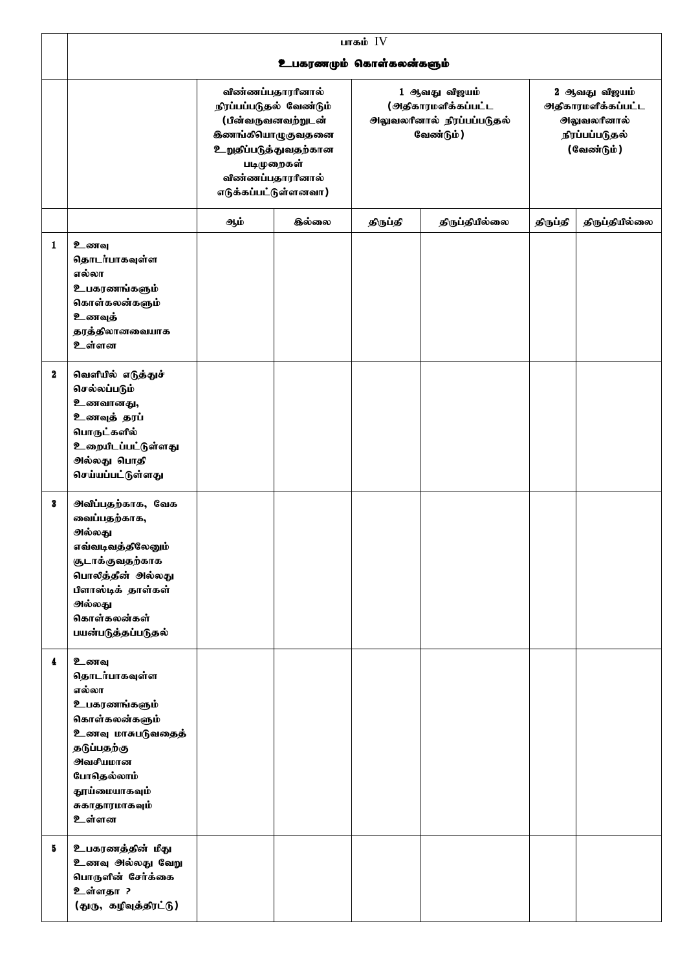|                  | பாகம் $IV$                                                                                                                                                                        |                                                                                                                                                                                         |                         |                                                                                       |                |                                                                                            |                |  |  |  |
|------------------|-----------------------------------------------------------------------------------------------------------------------------------------------------------------------------------|-----------------------------------------------------------------------------------------------------------------------------------------------------------------------------------------|-------------------------|---------------------------------------------------------------------------------------|----------------|--------------------------------------------------------------------------------------------|----------------|--|--|--|
|                  |                                                                                                                                                                                   |                                                                                                                                                                                         | உபகரணமும் கொள்கலன்களும் |                                                                                       |                |                                                                                            |                |  |  |  |
|                  |                                                                                                                                                                                   | விண்ணப்பதாரரினால்<br>நிரப்பப்படுதல் வேண்டும்<br>(பின்வருவனவற்றுடன்<br><b>இணங்கியாழுகுவதனை</b><br><b>உறுதப்படுத்துவதற்கான</b><br>படிமுறைகள்<br>விண்ணப்பதாரரினால்<br>எடுக்கப்பட்டுள்ளனவா) |                         | 1 ஆவது விஜயம்<br>(அதிகாரமளிக்கப்பட்ட<br><b>ூ</b> வலரினால் நிரப்பப்படுதல்<br>வேண்டும்) |                | 2 ஆவது விஜயம்<br><b>ூ</b> திகாரமளிக்கப்பட்ட<br>ூலுவலரினால்<br>நிரப்பப்படுதல்<br>(வேண்டும்) |                |  |  |  |
|                  |                                                                                                                                                                                   | ஆம்                                                                                                                                                                                     | <b>இல்லை</b>            | திருப்தி                                                                              | திருப்தியில்லை | திருப்தி                                                                                   | திருப்தியில்லை |  |  |  |
| 1                | உணவு<br>தொடர்பாகவுள்ள<br>எல்லா<br>உபகரணங்களும்<br>கொள்கலன்களும்<br>உணவுத்<br>தரத்திலானவையாக<br>உள்ளன                                                                              |                                                                                                                                                                                         |                         |                                                                                       |                |                                                                                            |                |  |  |  |
| $\boldsymbol{2}$ | வெளியில் எடுத்துச்<br>செல்லப்படும்<br>உணவானது,<br>உணவுத் தரப்<br>பொருட்களில்<br>உறையிடப்பட்டுள்ளது<br>அல்லது பொதி<br>செய்யப்பட்டுள்ளது                                            |                                                                                                                                                                                         |                         |                                                                                       |                |                                                                                            |                |  |  |  |
| 3                | அவீப்பதற்காக, வேக<br>வைப்பதற்காக,<br>அல்லது<br>எவ்வடிவத்திலேனும்<br>சூடாக்குவதற்காக<br>பொலித்தீன் அல்லது<br>பிளாஸ்டிக் தாள்கள்<br>அல்லது<br>கொள்கலன்கள்<br>பயன்படுத்தப்படுதல்     |                                                                                                                                                                                         |                         |                                                                                       |                |                                                                                            |                |  |  |  |
| 4                | உணவு<br>தொடர்பாகவுள்ள<br>எல்லா<br>உபகரணங்களும்<br>கொள்கலன்களும்<br>உணவு மாசுபடுவதைத்<br>தடுப்பதற்கு<br><b>ூ</b> வசீயமான<br>போதெல்லாம்<br>தூய்மையாகவும்<br>சுகாதாரமாகவும்<br>உள்ளன |                                                                                                                                                                                         |                         |                                                                                       |                |                                                                                            |                |  |  |  |
| 5                | உபகரணத்தின் மீது<br>உணவு அல்லது வேறு<br>பொருளின் சேர்க்கை<br>உள்ளதா ?<br>(துரு, கழிவுத்திரட்டு)                                                                                   |                                                                                                                                                                                         |                         |                                                                                       |                |                                                                                            |                |  |  |  |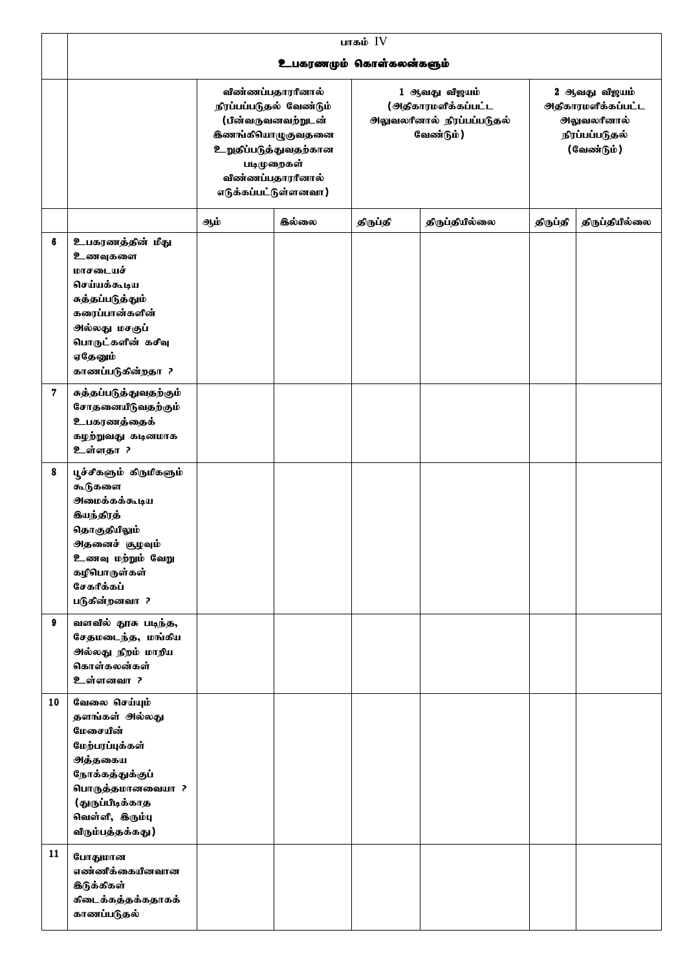|    | பாகம் $IV$                                                                                                                                                                     |                                                                                                                                                                                          |                         |          |                                                                                        |                                                                                            |                |  |
|----|--------------------------------------------------------------------------------------------------------------------------------------------------------------------------------|------------------------------------------------------------------------------------------------------------------------------------------------------------------------------------------|-------------------------|----------|----------------------------------------------------------------------------------------|--------------------------------------------------------------------------------------------|----------------|--|
|    |                                                                                                                                                                                |                                                                                                                                                                                          | உபகரணமும் கொள்கலன்களும் |          |                                                                                        |                                                                                            |                |  |
|    |                                                                                                                                                                                | விண்ணப்பதாரரினால்<br>நிரப்பப்படுதல் வேண்டும்<br>(பின்வருவனவற்றுடன்<br><b>இணங்கியாழுகுவதனை</b><br><b>உறுதிப்படுத்துவதற்கான</b><br>படிமுறைகள்<br>விண்ணப்பதாரரினால்<br>எடுக்கப்பட்டுள்ளனவா) |                         |          | 1 ஆவது விஜயம்<br>(அதிகாரமளிக்கப்பட்ட<br><b>அலுவலரீனால் நிரப்பப்படுதல்</b><br>வேண்டும்) | 2 ஆவது விஜயம்<br><b>ூ</b> திகாரமளிக்கப்பட்ட<br>ூலுவலரினால்<br>நிரப்பப்படுதல்<br>(வேண்டும்) |                |  |
|    |                                                                                                                                                                                | ஆம்                                                                                                                                                                                      | <b>இல்லை</b>            | திருப்தி | திருப்தியில்லை                                                                         | திருப்தி                                                                                   | திருப்தியில்லை |  |
| 6  | உபகரணத்தின் மீது<br>உணவுகளை<br>மாசடையச்<br>செய்யக்கூடிய<br>சுத்தப்படுத்தும்<br>கரைப்பான்களின்<br>அல்லது மசகுப்<br>பொருட்களின் கசிவு<br>ஏதேனும்<br>காணப்படுகின்றதா ?            |                                                                                                                                                                                          |                         |          |                                                                                        |                                                                                            |                |  |
| 7  | சுத்தப்படுத்துவதற்கும்<br>சோதனையீடுவதற்கும்<br>உபகரணத்தைக்<br>கழற்றுவது கடினமாக<br>உள்ளதா ?                                                                                    |                                                                                                                                                                                          |                         |          |                                                                                        |                                                                                            |                |  |
| 8  | பூச்சீகளும் கிருமிகளும்<br>கூடுகளை<br>ூலமக்கக்கூடிய<br><b>கியந்திரத்</b><br>தொகுதியிலும்<br>அதனைச் சூழவும்<br>உணவு மற்றும் வேறு<br>கழிபொருள்கள்<br>சேகரீக்கப்<br>படுகின்றனவா ? |                                                                                                                                                                                          |                         |          |                                                                                        |                                                                                            |                |  |
| 9  | வளவில் தூசு படிந்த,<br>சேதமடைந்த, மங்கிய<br>அல்லது நிறம் மாறிய<br>கொள்கலன்கள்<br>உள்ளனவா?                                                                                      |                                                                                                                                                                                          |                         |          |                                                                                        |                                                                                            |                |  |
| 10 | வேலை செய்யும்<br>தளங்கள் அல்லது<br>மேசையின்<br>மேற்பரப்புக்கள்<br>அத்தகைய<br>நோக்கத்துக்குப்<br>பொருத்தமானவையா ?<br>(துருப்பிடிக்காத<br>வெள்ளி, இரும்பு<br>விரும்பத்தக்கது)    |                                                                                                                                                                                          |                         |          |                                                                                        |                                                                                            |                |  |
| 11 | போதுமான<br>எண்ணீக்கையினவான<br><b>இடுக்கிகள்</b><br>கிடைக்கத்தக்கதாகக்<br>காணப்படுதல்                                                                                           |                                                                                                                                                                                          |                         |          |                                                                                        |                                                                                            |                |  |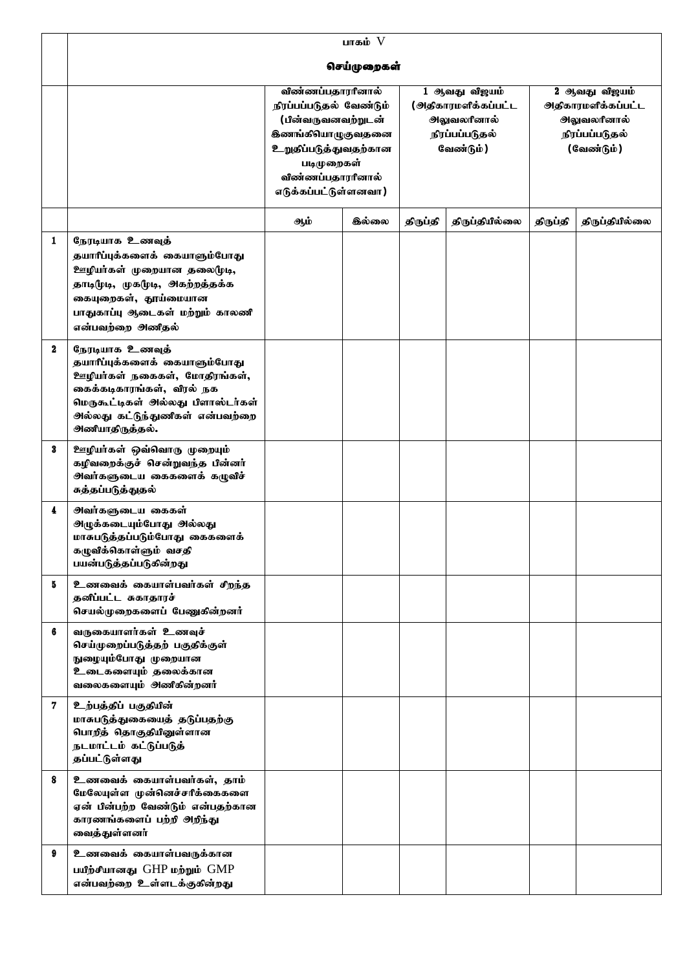|             | பாகம் $V$                                                                                                                                                                                                 |                                                                                                                                                                                          |              |                                                                                    |                |                                                                                            |                |  |
|-------------|-----------------------------------------------------------------------------------------------------------------------------------------------------------------------------------------------------------|------------------------------------------------------------------------------------------------------------------------------------------------------------------------------------------|--------------|------------------------------------------------------------------------------------|----------------|--------------------------------------------------------------------------------------------|----------------|--|
|             |                                                                                                                                                                                                           |                                                                                                                                                                                          | செய்முறைகள்  |                                                                                    |                |                                                                                            |                |  |
|             |                                                                                                                                                                                                           | விண்ணப்பதாரரினால்<br>நிரப்பப்படுதல் வேண்டும்<br>(பின்வருவனவற்றுடன்<br><b>கிணங்கியாழுகுவதனை</b><br><b>உறுதப்படுத்துவதற்கான</b><br>படிமுறைகள்<br>விண்ணப்பதாரரினால்<br>எடுக்கப்பட்டுள்ளனவா) |              | 1 ஆவது விஜயம்<br>(அதிகாரமளிக்கப்பட்ட<br>ூலுவலரினால்<br>நிரப்பப்படுதல்<br>வேண்டும்) |                | 2 ஆவது விஜயம்<br><u> அதிகாரமளிக்கப்பட்ட</u><br>ூலுவலரினால்<br>நிரப்பப்படுதல்<br>(வேண்டும்) |                |  |
|             |                                                                                                                                                                                                           | ஆம்                                                                                                                                                                                      | <b>இல்லை</b> | திருப்தி                                                                           | திருப்தியில்லை | திருப்தி                                                                                   | திருப்தியில்லை |  |
| 1           | நேரடியாக உணவுத்<br>தயாரீப்புக்களைக் கையாளும்போது<br>ஊழியா்கள் முறையான தலை(முடி,<br>தாடிமுடி, முகமுடி, அகற்றத்தக்க<br>கையுறைகள், தூய்மையான<br>பாதுகாப்பு ஆடைகள் மற்றும் காலணி<br>என்பவற்றை அணிதல்          |                                                                                                                                                                                          |              |                                                                                    |                |                                                                                            |                |  |
| $\mathbf 2$ | நேரடியாக உணவுத்<br>தயாரீப்புக்களைக் கையாளும்போது<br>ஊழியர்கள் நகைகள், மோதிரங்கள்,<br>கைக்கடிகாரங்கள், விரல் நக<br>மெருகூட்டிகள் அல்லது பிளாஸ்டர்கள்<br>அல்லது கட்டுந்துணீகள் என்பவற்றை<br>அணியாதிருத்தல். |                                                                                                                                                                                          |              |                                                                                    |                |                                                                                            |                |  |
| 3           | ஊழியர்கள் ஒவ்வொரு முறையும்<br>கழிவறைக்குச் சென்றுவந்த பின்னர்<br>சுத்தப்படுத்துதல்                                                                                                                        |                                                                                                                                                                                          |              |                                                                                    |                |                                                                                            |                |  |
| 4           | <b>அவர்களுடைய கைகள்</b><br><u> அழுக்கடையும்போது அல்லது</u><br>மாசுபடுத்தப்படும்போது கைகளைக்<br>கழுவிக்கொள்ளும் வசதி<br>பயன்படுத்தப்படுகின்றது                                                             |                                                                                                                                                                                          |              |                                                                                    |                |                                                                                            |                |  |
| 5           | உணவைக் கையாள்பவர்கள் சிறந்த<br>தனிப்பட்ட சுகாதாரச்<br>செயல்முறைகளைப் பேணுகின்றனர்                                                                                                                         |                                                                                                                                                                                          |              |                                                                                    |                |                                                                                            |                |  |
| 6           | வருகையாளர்கள் உணவுச்<br>செய்முறைப்படுத்தற் பகுதிக்குள்<br>நுழையும்போது முறையான<br>உடைகளையும் தலைக்கான<br>வலைகளையும் அணிகின்றனர்                                                                           |                                                                                                                                                                                          |              |                                                                                    |                |                                                                                            |                |  |
| 7           | உற்பத்தப் பகுதியின்<br>மாசுபடுத்துகையைத் தடுப்பதற்கு<br>பொறித் தொகுதியினுள்ளான<br>நடமாட்டம் கட்டுப்படுத்<br>தப்பட்டுள்ளது                                                                                 |                                                                                                                                                                                          |              |                                                                                    |                |                                                                                            |                |  |
| 8           | உணவைக் கையாள்பவர்கள், தாம்<br>மேலேயுள்ள முன்னெச்சரீக்கைகளை<br>ஏன் பின்பற்ற வேண்டும் என்பதற்கான<br>காரணங்களைப் பற்றி அறிந்து<br>வைத்துள்ளனர்                                                               |                                                                                                                                                                                          |              |                                                                                    |                |                                                                                            |                |  |
| 9           | உணவைக் கையாள்பவருக்கான<br>பயீற்சீயானது GHP மற்றும் GMP<br>என்பவற்றை உள்ளடக்குகின்றது                                                                                                                      |                                                                                                                                                                                          |              |                                                                                    |                |                                                                                            |                |  |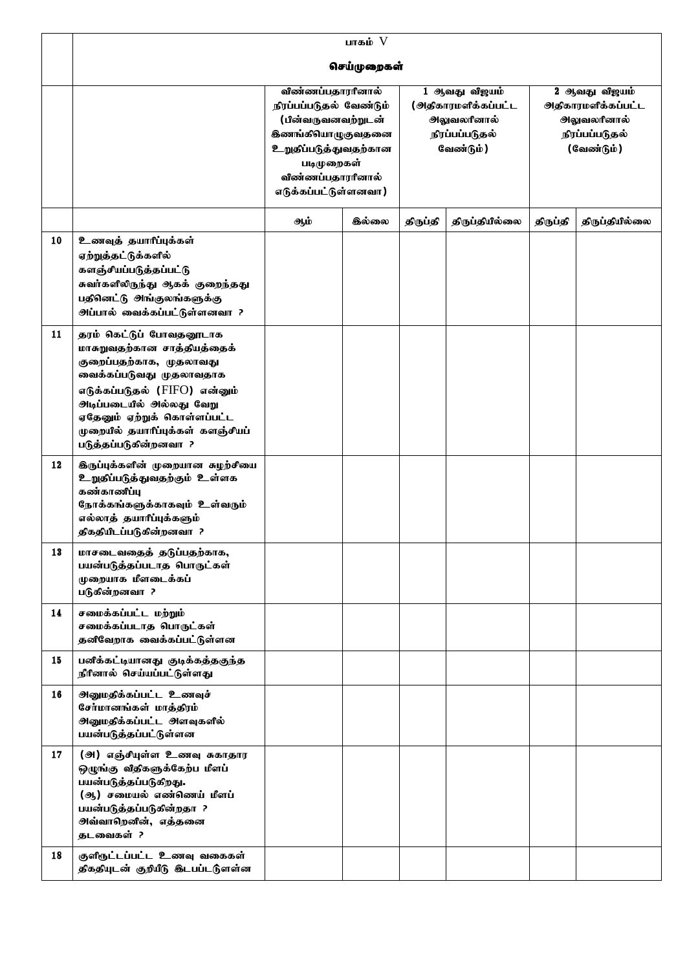|    |                                                                                                                                                                                                                                            |                                                                                                                                                                                          | பாகம் $V$   |          |                                                                                           |                                                              |                |
|----|--------------------------------------------------------------------------------------------------------------------------------------------------------------------------------------------------------------------------------------------|------------------------------------------------------------------------------------------------------------------------------------------------------------------------------------------|-------------|----------|-------------------------------------------------------------------------------------------|--------------------------------------------------------------|----------------|
|    |                                                                                                                                                                                                                                            |                                                                                                                                                                                          | செய்முறைகள் |          |                                                                                           |                                                              |                |
|    |                                                                                                                                                                                                                                            | விண்ணப்பதாரரினால்<br>நிரப்பப்படுதல் வேண்டும்<br>(பின்வருவனவற்றுடன்<br><b>கிணங்கியாழுகுவதனை</b><br><b>உறுதப்படுத்துவதற்கான</b><br>படிமுறைகள்<br>விண்ணப்பதாரரினால்<br>எடுக்கப்பட்டுள்ளனவா) |             |          | 1 ஆவது விஜயம்<br><u>(அதிகாரமளிக்கப்பட்ட</u><br>ூலுவலரினால்<br>நிரப்பப்படுதல்<br>வேண்டும்) | 2 ஆவது விஜயம்<br>ூலுவலரினால்<br>நிரப்பப்படுதல்<br>(வேண்டும்) |                |
|    |                                                                                                                                                                                                                                            | <b>இல்லை</b><br>ஆம்                                                                                                                                                                      |             | திருப்தி | திருப்தியில்லை                                                                            | திருப்தி                                                     | திருப்தியில்லை |
| 10 | உணவுத் தயாரீப்புக்கள்<br>ஏற்றுத்தட்டுக்களில்<br>களஞ்சீயப்படுத்தப்பட்டு<br>சுவர்களிலிருந்து ஆகக் குறைந்தது<br>பதினட்டு அங்குலங்களுக்கு<br><u> அப்பால் வைக்கப்பட்டுள்ளனவா</u> ?                                                              |                                                                                                                                                                                          |             |          |                                                                                           |                                                              |                |
| 11 | தரம் கெட்டுப் போவதனூடாக<br>மாசுறுவதற்கான சாத்தியத்தைக்<br>குறைப்பதற்காக, முதலாவது<br>வைக்கப்படுவது முதலாவதாக<br>எடுக்கப்படுதல் (FIFO) என்னும்<br>ஏதேனும் ஏற்றுக் கொள்ளப்பட்ட<br>முறையில் தயாரிப்புக்கள் களஞ்சியப்<br>படுத்தப்படுகின்றனவா ? |                                                                                                                                                                                          |             |          |                                                                                           |                                                              |                |
| 12 | <b>இருப்புக்களின் முறையான சுழற்சியை</b><br><b>உறுதப்படுத்துவதற்கும் உள்ளக</b><br>கண்காணீப்பு<br>நோக்கங்களுக்காகவும் உள்வரும்<br>எல்லாத் தயாரீப்புக்களும்<br>திகதியிடப்படுகின்றனவா ?                                                        |                                                                                                                                                                                          |             |          |                                                                                           |                                                              |                |
| 13 | மாசடைவதைத் தடுப்பதற்காக,<br>பயன்படுத்தப்படாத பொருட்கள்<br>முறையாக மீளடைக்கப்<br>படுகின்றனவா ?                                                                                                                                              |                                                                                                                                                                                          |             |          |                                                                                           |                                                              |                |
| 14 | சமைக்கப்பட்ட மற்றும்<br>சமைக்கப்படாத பொருட்கள்<br>தனீவேறாக வைக்கப்பட்டுள்ளன                                                                                                                                                                |                                                                                                                                                                                          |             |          |                                                                                           |                                                              |                |
| 15 | பனிக்கட்டியானது குடிக்கத்தகுந்த<br>நீரீனால் செய்யப்பட்டுள்ளது                                                                                                                                                                              |                                                                                                                                                                                          |             |          |                                                                                           |                                                              |                |
| 16 | <b>அனுமதிக்கப்பட்ட உணவுச்</b><br>சேர்மானங்கள் மாத்திரம்<br><b>அனுமதிக்கப்பட்ட அளவுகளில்</b><br>பயன்படுத்தப்பட்டுள்ளன                                                                                                                       |                                                                                                                                                                                          |             |          |                                                                                           |                                                              |                |
| 17 | (அ) எஞ்சீயுள்ள உணவு சுகாதார<br>ஒழுங்கு வீதிகளுக்கேற்ப மீளப்<br>பயன்படுத்தப்படுகிறது.<br>(ஆ) சமையல் எண்ணெய் மீளப்<br>பயன்படுத்தப்படுகின்றதா ?<br>அவ்வாறெனின், எத்தனை<br>தடவைகள் ?                                                           |                                                                                                                                                                                          |             |          |                                                                                           |                                                              |                |
| 18 | குளிருட்டப்பட்ட உணவு வகைகள்<br>திகதியுடன் குறியீடு இடபப்டடுளள்ன                                                                                                                                                                            |                                                                                                                                                                                          |             |          |                                                                                           |                                                              |                |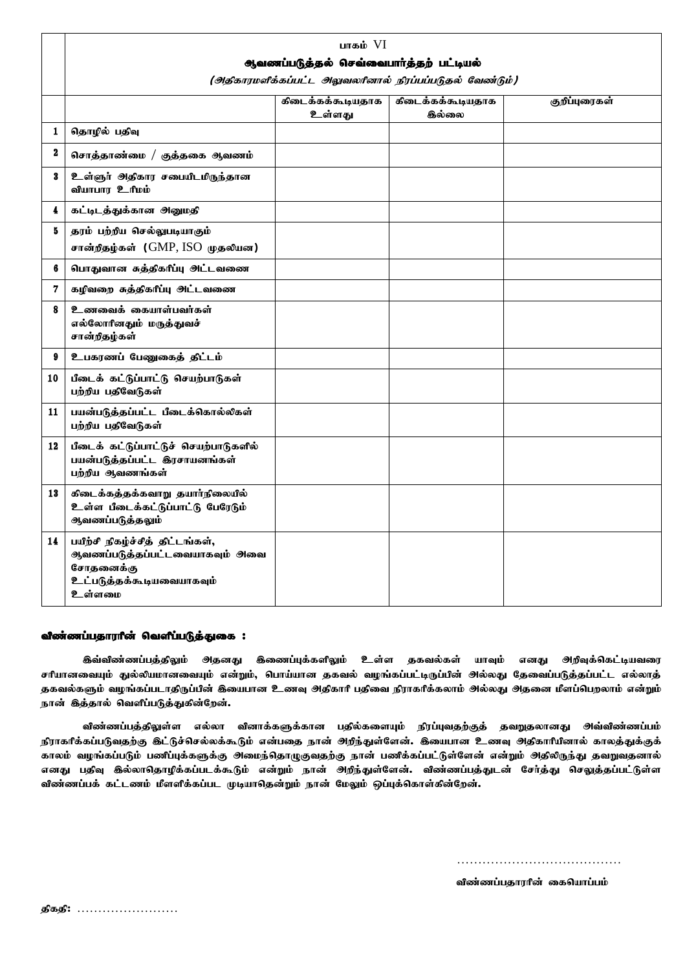|                  | பாகம் $VI$<br>ஆவணப்படுத்தல் செவ்வைபார்த்தற் பட்டியல்<br>(அதிகாரமளிக்கப்பட்ட அலுவலரினால் நிரப்பப்படுதல் வேண்டும்)             |                             |                             |               |  |  |  |  |  |
|------------------|------------------------------------------------------------------------------------------------------------------------------|-----------------------------|-----------------------------|---------------|--|--|--|--|--|
|                  |                                                                                                                              | கிடைக்கக்கூடியதாக<br>உள்ளது | கிடைக்கக்கூடியதாக<br>கில்லை | குறீப்புரைகள் |  |  |  |  |  |
| 1                | தொழில் பதிவு                                                                                                                 |                             |                             |               |  |  |  |  |  |
| $\boldsymbol{2}$ | சொத்தாண்மை / குத்தகை ஆவணம்                                                                                                   |                             |                             |               |  |  |  |  |  |
| 3                | உள்ளுர் அதிகார சபையிடமிருந்தான<br>வியாபாா உரிமம்                                                                             |                             |                             |               |  |  |  |  |  |
| 4                | கட்டிடத்துக்கான அனுமதி                                                                                                       |                             |                             |               |  |  |  |  |  |
| 5                | தரம் பற்றிய செல்லுபடியாகும்<br>சான்றீதழ்கள் (GMP, ISO முதலியன)                                                               |                             |                             |               |  |  |  |  |  |
| 6                | பொதுவான சுத்திகரீப்பு அட்டவணை                                                                                                |                             |                             |               |  |  |  |  |  |
| 7                | கழிவறை சுத்திகரீப்பு அட்டவணை                                                                                                 |                             |                             |               |  |  |  |  |  |
| 8                | உணவைக் கையாள்பவர்கள்<br>எல்லோரினதும் மருத்துவச்<br>சான்றீதழ்கள்                                                              |                             |                             |               |  |  |  |  |  |
| 9                | உபகரணப் பேணுகைத் திட்டம்                                                                                                     |                             |                             |               |  |  |  |  |  |
| 10               | பீடைக் கட்டுப்பாட்டு செயற்பாடுகள்<br>பற்றிய பதிவேடுகள்                                                                       |                             |                             |               |  |  |  |  |  |
| 11               | பயன்படுத்தப்பட்ட பீடைக்கொல்லிகள்<br>பற்றிய பதிவேடுகள்                                                                        |                             |                             |               |  |  |  |  |  |
| 12               | பீடைக் கட்டுப்பாட்டுச் செயற்பாடுகளில்<br>பயன்படுத்தப்பட்ட இரசாயனங்கள்<br>பற்றிய ஆவணங்கள்                                     |                             |                             |               |  |  |  |  |  |
| 13               | கிடைக்கத்தக்கவாறு தயார்நிலையில்<br>உள்ள பீடைக்கட்டுப்பாட்டு பேரேடும்<br>ஆவணப்படுத்தலும்                                      |                             |                             |               |  |  |  |  |  |
| 14               | பயிற்சி நிகழ்ச்சித் திட்டங்கள்,<br>ஆவணப்படுத்தப்பட்டவையாகவும் அவை<br>சோதனைக்கு<br><b>உட்படுத்தக்கூடியவையாகவும்</b><br>உள்ளமை |                             |                             |               |  |  |  |  |  |

## விண்ணப்பதாராீன் வெளீப்படுத்துகை :

<mark>கிவ்விண்ணப்பத்திலும் அதனது கிணைப்பு</mark>க்களிலும் உள்ள தகவல்கள் யாவும் எனது அறிவுக்கெட்டியவரை சரியானவையும் துல்லியமானவையும் என்றும், பொய்யான தகவல் வழங்கப்பட்டிருப்பின் அல்லது தேவைப்படுத்தப்பட்ட எல்லாத் தகவல்களும் வழங்கப்படாதிருப்பின் இயைபான உணவு அதிகாரி பதிவை நிராகரிக்கலாம் அல்லது அதனை மீளப்பெறலாம் என்றும் நான் இத்தால் வெளிப்படுத்துகின்றேன்.

விண்ணப்பத்திலுள்ள எல்லா வினாக்களுக்கான பதில்களையும் நிரப்புவதற்குத் தவறுதலானது அவ்விண்ணப்பம் நிராகரிக்கப்படுவதற்கு இட்டுச்செல்லக்கூடும் என்பதை நான் அறிந்துள்ளேன். இயைபான உணவு அதிகாரியினால் காலத்துக்குக் காலம் வழங்கப்படும் பணிப்புக்களுக்கு அமைந்தொழுகுவதற்கு நான் பணிக்கப்பட்டுள்ளேன் என்றும் அதிலிருந்து தவறுவதனால் எனது பதிவு இல்லாதொழிக்கப்படக்கூடும் என்றும் நான் அறிந்துள்ளேன். விண்ணப்பத்துடன் சேர்த்து செலுத்தப்பட்டுள்ள விண்ணப்பக் கட்டணம் மீளளிக்கப்பட முடியாதென்றும் நான் மேலும் ஒப்புக்கொள்கின்றேன்.

………………………………………………

விண்ணப்பதாரரின் கையொப்பம்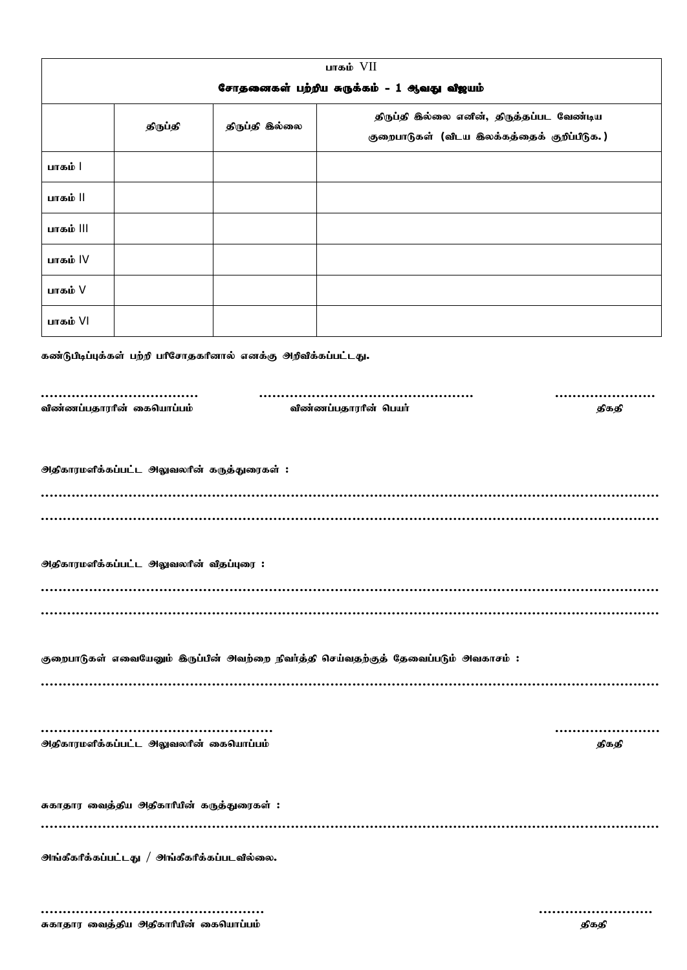| பாகம் $VII$                                                                         |                                                             |                |                                                                                          |  |  |  |
|-------------------------------------------------------------------------------------|-------------------------------------------------------------|----------------|------------------------------------------------------------------------------------------|--|--|--|
| சோதனைகள் பற்றிய சுருக்கம் - 1 ஆவது விஜயம்                                           |                                                             |                |                                                                                          |  |  |  |
|                                                                                     | திருப்தி                                                    | திருப்தி இல்லை | திருப்தி இல்லை எனின், திருத்தப்பட வேண்டிய<br>குறைபாடுகள் (விடய இலக்கத்தைக் குறிப்பிடுக.) |  |  |  |
| பாகம்                                                                               |                                                             |                |                                                                                          |  |  |  |
| பாகம்                                                                               |                                                             |                |                                                                                          |  |  |  |
| பாகம் III                                                                           |                                                             |                |                                                                                          |  |  |  |
| பாகம் IV                                                                            |                                                             |                |                                                                                          |  |  |  |
| பாகம் V                                                                             |                                                             |                |                                                                                          |  |  |  |
| பாகம் VI                                                                            |                                                             |                |                                                                                          |  |  |  |
| கண்டுபிடிப்புக்கள் பற்றி பரிசோதகரினால் எனக்கு அறிவிக்கப்பட்டது.                     |                                                             |                |                                                                                          |  |  |  |
|                                                                                     | விண்ணப்பதாரரின் கையொப்பம்<br>விண்ணப்பதாரரின் பெயர்<br>திகதி |                |                                                                                          |  |  |  |
| <u> அதிகாரமளிக்கப்பட்ட அலுவலரின் கருத்துரைகள்:</u>                                  |                                                             |                |                                                                                          |  |  |  |
| <b>ூ</b> திகாரமளிக்கப்பட்ட அலுவலரின் விதப்புரை:                                     |                                                             |                |                                                                                          |  |  |  |
|                                                                                     |                                                             |                |                                                                                          |  |  |  |
|                                                                                     |                                                             |                |                                                                                          |  |  |  |
| குறைபாடுகள் எவையேனும் இருப்பின் அவற்றை நிவர்த்தி செய்வதற்குத் தேவைப்படும் அவகாசம் : |                                                             |                |                                                                                          |  |  |  |
|                                                                                     |                                                             |                |                                                                                          |  |  |  |
| <b>ூதிகாரமளிக்கப்பட்ட அலுவலரின் கையொப்பம்</b><br>திகதி                              |                                                             |                |                                                                                          |  |  |  |
| சுகாதார வைத்திய அதிகாரியின் கருத்துரைகள் :                                          |                                                             |                |                                                                                          |  |  |  |
| <u> அங்கீகரீக்கப்பட்டது / அங்கீகரீக்கப்படவில்லை.</u>                                |                                                             |                |                                                                                          |  |  |  |